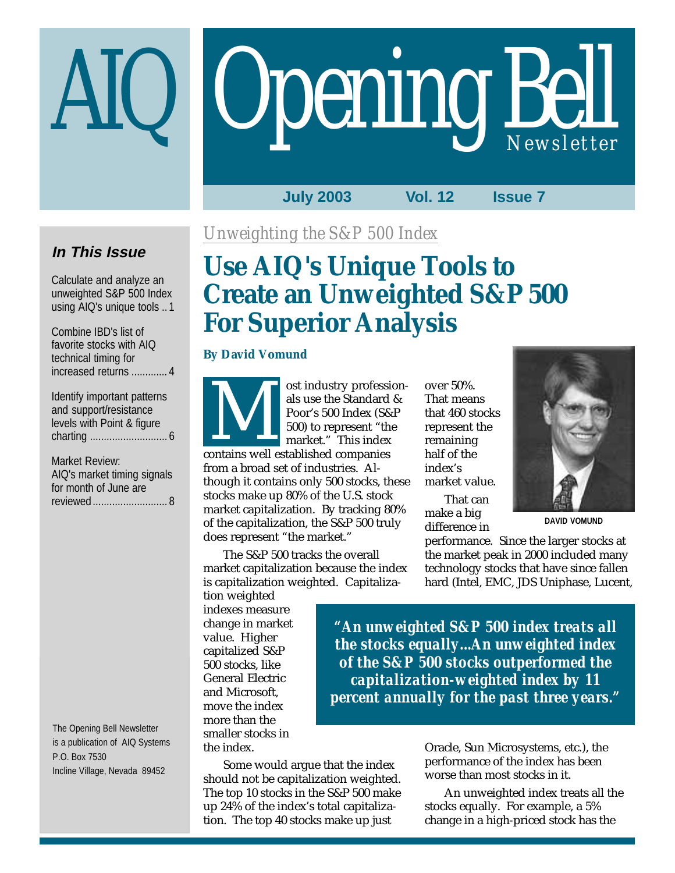# **Opening Bell**

**July 2003 Vol. 12 Issue 7**

## **In This Issue**

Calculate and analyze an unweighted S&P 500 Index using AIQ's unique tools .. 1

Combine IBD's list of favorite stocks with AIQ technical timing for increased returns ............. 4

Identify important patterns and support/resistance levels with Point & figure charting ............................ 6

Market Review: AIQ's market timing signals for month of June are reviewed........................... 8

The Opening Bell Newsletter is a publication of AIQ Systems P.O. Box 7530 Incline Village, Nevada 89452

*Unweighting the S&P 500 Index*

# **Use AIQ's Unique Tools to Create an Unweighted S&P 500 For Superior Analysis**

## **By David Vomund**



ost industry professionals use the Standard & Poor's 500 Index (S&P 500) to represent "the market." This index Southaisty process.<br>
als use the Standard<br>
Poor's 500 Index (S&<br>
500) to represent "the<br>
market." This index<br>
contains well established companies

from a broad set of industries. Although it contains only 500 stocks, these stocks make up 80% of the U.S. stock market capitalization. By tracking 80% of the capitalization, the S&P 500 truly does represent "the market."

The S&P 500 tracks the overall market capitalization because the index is capitalization weighted. Capitaliza-

tion weighted indexes measure change in market value. Higher capitalized S&P 500 stocks, like General Electric and Microsoft, move the index more than the smaller stocks in the index.

over 50%. That means that 460 stocks represent the remaining half of the index's market value.

That can make a big difference in



**DAVID VOMUND**

performance. Since the larger stocks at the market peak in 2000 included many technology stocks that have since fallen hard (Intel, EMC, JDS Uniphase, Lucent,

*"An unweighted S&P 500 index treats all the stocks equally...An unweighted index of the S&P 500 stocks outperformed the capitalization-weighted index by 11 percent annually for the past three years."*

Some would argue that the index should not be capitalization weighted. The top 10 stocks in the S&P 500 make up 24% of the index's total capitalization. The top 40 stocks make up just

Oracle, Sun Microsystems, etc.), the performance of the index has been worse than most stocks in it.

An unweighted index treats all the stocks equally. For example, a 5% change in a high-priced stock has the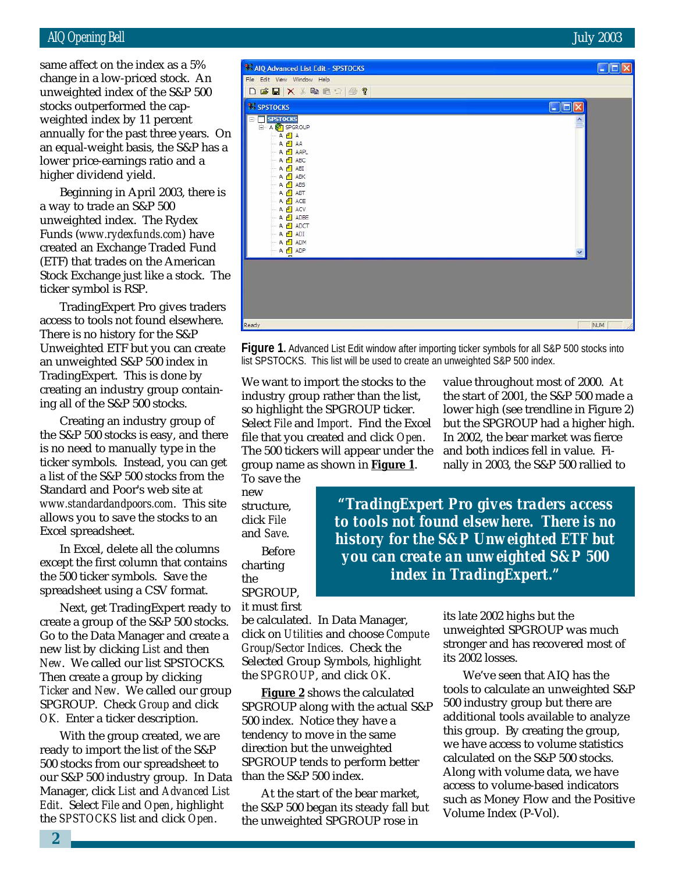## AIQ Opening Bell July 2003

stocks outperformed the capsame affect on the index as a 5% change in a low-priced stock. An unweighted index of the S&P 500 weighted index by 11 percent annually for the past three years. On an equal-weight basis, the S&P has a lower price-earnings ratio and a higher dividend yield.

Beginning in April 2003, there is a way to trade an S&P 500 unweighted index. The Rydex Funds (*www.rydexfunds.com*) have created an Exchange Traded Fund (ETF) that trades on the American Stock Exchange just like a stock. The ticker symbol is RSP.

TradingExpert Pro gives traders access to tools not found elsewhere. There is no history for the S&P Unweighted ETF but you can create an unweighted S&P 500 index in TradingExpert. This is done by creating an industry group containing all of the S&P 500 stocks.

Creating an industry group of the S&P 500 stocks is easy, and there is no need to manually type in the ticker symbols. Instead, you can get a list of the S&P 500 stocks from the Standard and Poor's web site at *www.standardandpoors.com*. This site allows you to save the stocks to an Excel spreadsheet.

In Excel, delete all the columns except the first column that contains the 500 ticker symbols. Save the spreadsheet using a CSV format.

Next, get TradingExpert ready to create a group of the S&P 500 stocks. Go to the Data Manager and create a new list by clicking *List* and then *New*. We called our list SPSTOCKS. Then create a group by clicking *Ticker* and *New*. We called our group SPGROUP. Check *Group* and click *OK.* Enter a ticker description.

With the group created, we are ready to import the list of the S&P 500 stocks from our spreadsheet to our S&P 500 industry group. In Data Manager, click *List* and *Advanced List Edit*. Select *File* and *Open*, highlight the *SPSTOCKS* list and click *Open*.



**Figure 1.** Advanced List Edit window after importing ticker symbols for all S&P 500 stocks into list SPSTOCKS. This list will be used to create an unweighted S&P 500 index.

We want to import the stocks to the industry group rather than the list, so highlight the SPGROUP ticker. Select *File* and *Import*. Find the Excel file that you created and click *Open*. The 500 tickers will appear under the group name as shown in **Figure 1**.

To save the new structure, click *File* and *Save*.

Before charting the SPGROUP, it must first

be calculated. In Data Manager, click on *Utilities* and choose *Compute Group/Sector Indices*. Check the Selected Group Symbols, highlight the *SPGROUP*, and click *OK*.

**Figure 2** shows the calculated SPGROUP along with the actual S&P 500 index. Notice they have a tendency to move in the same direction but the unweighted SPGROUP tends to perform better than the S&P 500 index.

At the start of the bear market, the S&P 500 began its steady fall but the unweighted SPGROUP rose in

value throughout most of 2000. At the start of 2001, the S&P 500 made a lower high (see trendline in Figure 2) but the SPGROUP had a higher high. In 2002, the bear market was fierce and both indices fell in value. Finally in 2003, the S&P 500 rallied to

*"TradingExpert Pro gives traders access to tools not found elsewhere. There is no history for the S&P Unweighted ETF but you can create an unweighted S&P 500 index in TradingExpert."*

> its late 2002 highs but the unweighted SPGROUP was much stronger and has recovered most of its 2002 losses.

We've seen that AIQ has the tools to calculate an unweighted S&P 500 industry group but there are additional tools available to analyze this group. By creating the group, we have access to volume statistics calculated on the S&P 500 stocks. Along with volume data, we have access to volume-based indicators such as Money Flow and the Positive Volume Index (P-Vol).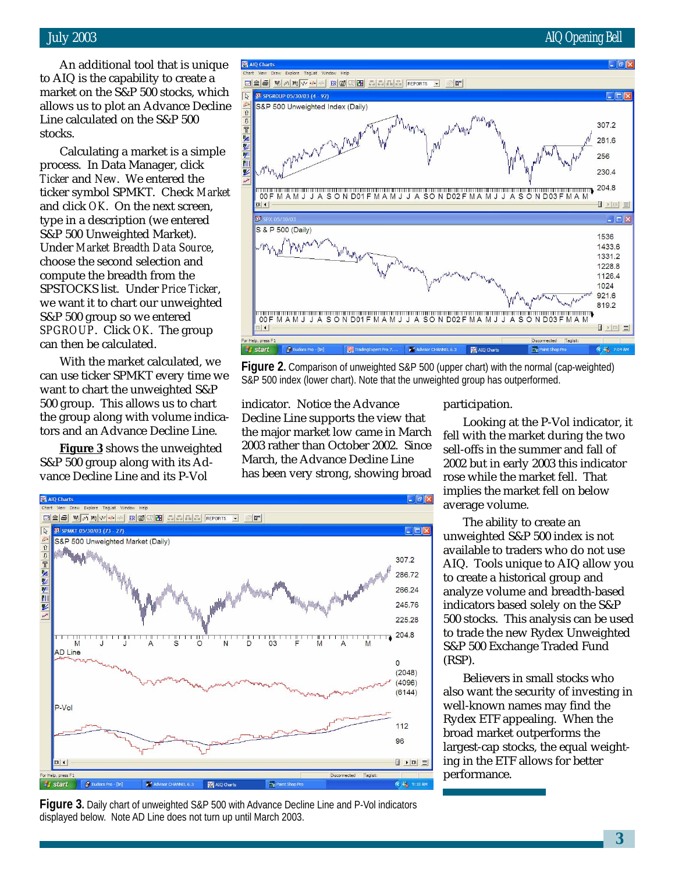## July 2003 AIQ Opening Bell

## An additional tool that is unique to AIQ is the capability to create a market on the S&P 500 stocks, which allows us to plot an Advance Decline Line calculated on the S&P 500 stocks.

Calculating a market is a simple process. In Data Manager, click *Ticker* and *New*. We entered the ticker symbol SPMKT. Check *Market* and click *OK*. On the next screen, type in a description (we entered S&P 500 Unweighted Market). Under *Market Breadth Data Source*, choose the second selection and compute the breadth from the SPSTOCKS list. Under *Price Ticker*, we want it to chart our unweighted S&P 500 group so we entered *SPGROUP*. Click *OK*. The group can then be calculated.

With the market calculated, we can use ticker SPMKT every time we want to chart the unweighted S&P 500 group. This allows us to chart the group along with volume indicators and an Advance Decline Line.

**Figure 3** shows the unweighted S&P 500 group along with its Advance Decline Line and its P-Vol



**Figure 2.** Comparison of unweighted S&P 500 (upper chart) with the normal (cap-weighted) S&P 500 index (lower chart). Note that the unweighted group has outperformed.

indicator. Notice the Advance Decline Line supports the view that the major market low came in March 2003 rather than October 2002. Since March, the Advance Decline Line has been very strong, showing broad



**Figure 3.** Daily chart of unweighted S&P 500 with Advance Decline Line and P-Vol indicators displayed below. Note AD Line does not turn up until March 2003.

participation.

Looking at the P-Vol indicator, it fell with the market during the two sell-offs in the summer and fall of 2002 but in early 2003 this indicator rose while the market fell. That implies the market fell on below average volume.

The ability to create an unweighted S&P 500 index is not available to traders who do not use AIQ. Tools unique to AIQ allow you to create a historical group and analyze volume and breadth-based indicators based solely on the S&P 500 stocks. This analysis can be used to trade the new Rydex Unweighted S&P 500 Exchange Traded Fund (RSP).

Believers in small stocks who also want the security of investing in well-known names may find the Rydex ETF appealing. When the broad market outperforms the largest-cap stocks, the equal weighting in the ETF allows for better performance.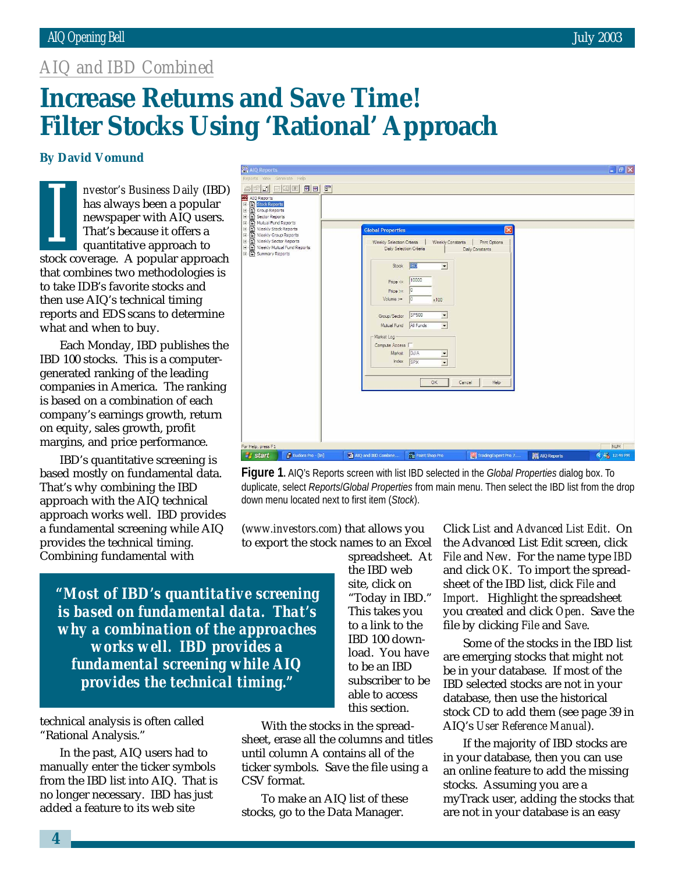## *AIQ and IBD Combined*

# **Increase Returns and Save Time! Filter Stocks Using 'Rational' Approach**

## **By David Vomund**

*nvestor's Business Daily* (IBD) has always been a popular newspaper with AIQ users. That's because it offers a quantitative approach to **Example 18 SET AND AND AND AND AN ANO SET AND ARRANGEMENT AND ARRANGEMENT AND AN ANGLE THAT A popular approach to**<br> **IS** and **I** and **I** and **I** and **I** and **I** and **I** and **I** and **I** and **I** and **I** that combines two methodologies is to take IDB's favorite stocks and then use AIQ's technical timing reports and EDS scans to determine what and when to buy.

Each Monday, IBD publishes the IBD 100 stocks. This is a computergenerated ranking of the leading companies in America. The ranking is based on a combination of each company's earnings growth, return on equity, sales growth, profit margins, and price performance.

IBD's quantitative screening is based mostly on fundamental data. That's why combining the IBD approach with the AIQ technical approach works well. IBD provides a fundamental screening while AIQ provides the technical timing. Combining fundamental with

| A AIQ Reports                                                                                                                                                                                                                                                               |                                                                                                                                                                                             |                                                                                                                                                                                                                                                               |                                                                               |             | $\ .\ $ $\sigma$ $\ $ $\times$ |
|-----------------------------------------------------------------------------------------------------------------------------------------------------------------------------------------------------------------------------------------------------------------------------|---------------------------------------------------------------------------------------------------------------------------------------------------------------------------------------------|---------------------------------------------------------------------------------------------------------------------------------------------------------------------------------------------------------------------------------------------------------------|-------------------------------------------------------------------------------|-------------|--------------------------------|
| Reports View Generate Help                                                                                                                                                                                                                                                  |                                                                                                                                                                                             |                                                                                                                                                                                                                                                               |                                                                               |             |                                |
| 因问团<br>$\blacksquare$<br>团                                                                                                                                                                                                                                                  |                                                                                                                                                                                             |                                                                                                                                                                                                                                                               |                                                                               |             |                                |
| <b>AIQ</b> Reports<br><b>Fig. Stock Reports</b><br>Group Reports<br>Ŵ,<br>Ė<br>Sector Reports<br>Ė<br>Mutual Fund Reports<br>Weekly Stock Reports<br>Ė<br>Weekly Group Reports<br>田<br>Ŵ,<br>Weekly Sector Reports<br>H)<br>Weekly Mutual Fund Reports<br>E Summary Reports | <b>Global Properties</b><br>Weekly Selection Criteria<br>Stock<br>Price <<br>$Price > =$<br>Volume $>=$<br>Group/Sector<br>Mutual Fund<br>Market Log<br>Compute Access I<br>Market<br>Index | Weekly Constants<br>Daily Selection Criteria<br><b>BD</b><br>$\blacktriangledown$<br>10000<br>10<br>$ 0\rangle$<br>x100<br>SP500<br>$\overline{ }$<br>$\overline{\phantom{0}}$<br>All Funds<br>DJIA<br>$\overline{ }$<br>$\overline{\mathbf{v}}$<br>SPX<br>OK | $\overline{\mathbf{x}}$<br>Print Options<br>Daily Constants<br>Help<br>Cancel |             |                                |
| For Help, press F1                                                                                                                                                                                                                                                          |                                                                                                                                                                                             |                                                                                                                                                                                                                                                               |                                                                               |             | <b>NUM</b>                     |
| Eudora Pro - [In]<br><b>Start</b>                                                                                                                                                                                                                                           | <b>Will AIQ and IBD Combine</b>                                                                                                                                                             | Paint Shop Pro                                                                                                                                                                                                                                                | TradingExpert Pro 7                                                           | AIQ Reports | < /> 12:49 PM                  |

**Figure 1.** AIQ's Reports screen with list IBD selected in the *Global Properties* dialog box. To duplicate, select *Reports*/*Global Properties* from main menu. Then select the IBD list from the drop down menu located next to first item (*Stock*).

(*www.investors.com*) that allows you to export the stock names to an Excel

*"Most of IBD's quantitative screening is based on fundamental data. That's why a combination of the approaches works well. IBD provides a fundamental screening while AIQ provides the technical timing."*

technical analysis is often called "Rational Analysis."

In the past, AIQ users had to manually enter the ticker symbols from the IBD list into AIQ. That is no longer necessary. IBD has just added a feature to its web site

spreadsheet. At the IBD web site, click on "Today in IBD." This takes you to a link to the IBD 100 download. You have to be an IBD subscriber to be able to access this section.

With the stocks in the spreadsheet, erase all the columns and titles until column A contains all of the ticker symbols. Save the file using a CSV format.

To make an AIQ list of these stocks, go to the Data Manager.

Click *List* and *Advanced List Edit*. On the Advanced List Edit screen, click *File* and *New*. For the name type *IBD* and click *OK*. To import the spreadsheet of the IBD list, click *File* and *Import*. Highlight the spreadsheet you created and click *Open*. Save the file by clicking *File* and *Save*.

Some of the stocks in the IBD list are emerging stocks that might not be in your database. If most of the IBD selected stocks are not in your database, then use the historical stock CD to add them (see page 39 in AIQ's *User Reference Manual*).

If the majority of IBD stocks are in your database, then you can use an online feature to add the missing stocks. Assuming you are a myTrack user, adding the stocks that are not in your database is an easy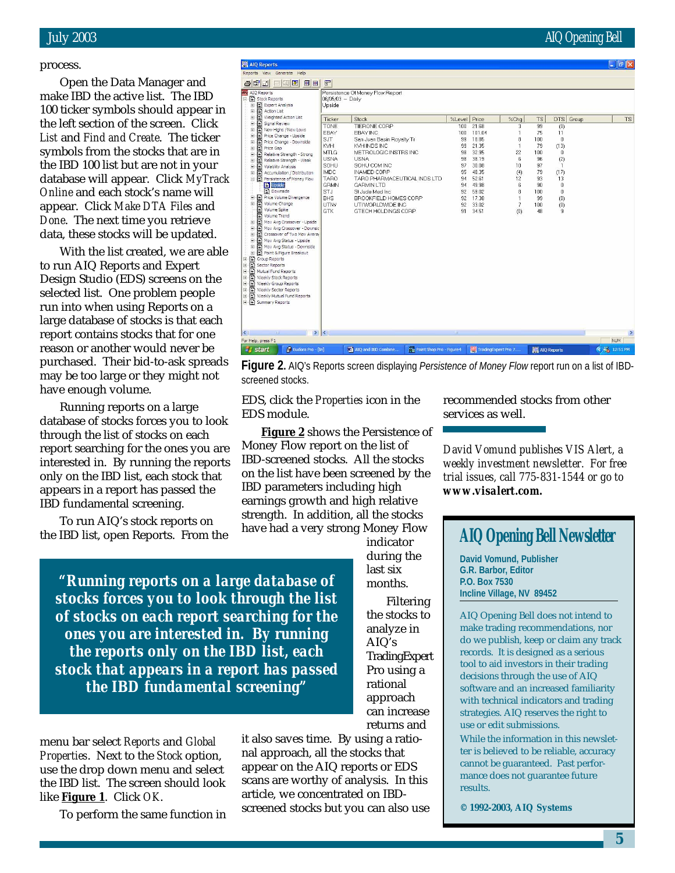### process.

ke IB<br>) tick<br>} left :<br>*t* and<br>mbols<br>} IBD Open the Data Manager and make IBD the active list. The IBD 100 ticker symbols should appear in the left section of the screen. Click *List* and *Find and Create*. The ticker symbols from the stocks that are in the IBD 100 list but are not in your database will appear. Click *MyTrack Online* and each stock's name will appear. Click *Make DTA Files* and *Done*. The next time you retrieve data, these stocks will be updated.

With the list created, we are able to run AIQ Reports and Expert Design Studio (EDS) screens on the selected list. One problem people run into when using Reports on a large database of stocks is that each report contains stocks that for one reason or another would never be purchased. Their bid-to-ask spreads may be too large or they might not have enough volume.

Running reports on a large database of stocks forces you to look through the list of stocks on each report searching for the ones you are interested in. By running the reports only on the IBD list, each stock that appears in a report has passed the IBD fundamental screening.

To run AIQ's stock reports on the IBD list, open Reports. From the

*"Running reports on a large database of stocks forces you to look through the list of stocks on each report searching for the ones you are interested in. By running the reports only on the IBD list, each stock that appears in a report has passed the IBD fundamental screening"*

menu bar select *Reports* and *Global Properties*. Next to the *Stock* option, use the drop down menu and select the IBD list. The screen should look like **Figure 1**. Click *OK*.

To perform the same function in

nal approach, all the stocks that appear on the AIQ reports or EDS scans are worthy of analysis. In this article, we concentrated on IBDscreened stocks but you can also use recommended stocks from other services as well.

*David Vomund publishes VIS Alert, a weekly investment newsletter. For free trial issues, call 775-831-1544 or go to www.visalert.com.*

## **AIQ Opening Bell Newsletter**

**David Vomund, Publisher G.R. Barbor, Editor P.O. Box 7530 Incline Village, NV 89452**

AIQ Opening Bell does not intend to make trading recommendations, nor do we publish, keep or claim any track records. It is designed as a serious tool to aid investors in their trading decisions through the use of AIQ software and an increased familiarity with technical indicators and trading strategies. AIQ reserves the right to use or edit submissions.

While the information in this newsletter is believed to be reliable, accuracy cannot be guaranteed. Past performance does not guarantee future results.

**© 1992-2003, AIQ Systems**

| and importa                                                                                                                                                                                                                                                                                                                                                                                                                                                                                                                                                                                                                                                                                                                                                                                                                                                                                                                                                     |                                                                                                                                                                                                  |                                                                                                                                                                                                                                                                                                                                                |                                                                                              |                                                                                                                                      |                                                                                           |                                                                                                   |                                                                                                                                           | $\sim$        |
|-----------------------------------------------------------------------------------------------------------------------------------------------------------------------------------------------------------------------------------------------------------------------------------------------------------------------------------------------------------------------------------------------------------------------------------------------------------------------------------------------------------------------------------------------------------------------------------------------------------------------------------------------------------------------------------------------------------------------------------------------------------------------------------------------------------------------------------------------------------------------------------------------------------------------------------------------------------------|--------------------------------------------------------------------------------------------------------------------------------------------------------------------------------------------------|------------------------------------------------------------------------------------------------------------------------------------------------------------------------------------------------------------------------------------------------------------------------------------------------------------------------------------------------|----------------------------------------------------------------------------------------------|--------------------------------------------------------------------------------------------------------------------------------------|-------------------------------------------------------------------------------------------|---------------------------------------------------------------------------------------------------|-------------------------------------------------------------------------------------------------------------------------------------------|---------------|
| orts View Generate Help                                                                                                                                                                                                                                                                                                                                                                                                                                                                                                                                                                                                                                                                                                                                                                                                                                                                                                                                         |                                                                                                                                                                                                  |                                                                                                                                                                                                                                                                                                                                                |                                                                                              |                                                                                                                                      |                                                                                           |                                                                                                   |                                                                                                                                           |               |
| Fi<br>$\blacksquare$<br>回国<br>œ                                                                                                                                                                                                                                                                                                                                                                                                                                                                                                                                                                                                                                                                                                                                                                                                                                                                                                                                 | F                                                                                                                                                                                                |                                                                                                                                                                                                                                                                                                                                                |                                                                                              |                                                                                                                                      |                                                                                           |                                                                                                   |                                                                                                                                           |               |
| AIQ Reports<br>Stock Reports<br>Expert Analysis<br>÷.<br>Action List<br>÷.<br><b>E</b> Weighted Action List<br>Signal Review<br>÷<br>E E New Highs / New Lows<br>Price Change - Upside<br>$+$<br>Price Change - Downside<br>÷<br>Price Gap<br>÷<br>Relative Strength - Strong<br>÷.<br>Ð<br>Relative Strength - Weak<br>÷.<br>Volatility Analysis<br>÷<br>E Accumulation / Distribution<br>Persistence of Money Flow<br><b>El</b> Upside<br><b>Downside</b><br>F Price Volume Divergence<br>Volume Change<br>D<br>Volume Spike<br>n<br>Volume Trend<br>Mov Avg Crossover - Upside<br>÷<br>Mov Avg Crossover - Downsic<br>÷<br>Crossover of Two Mov Avera<br>$\ddot{}$<br>F R Mov Avg Status - Upside<br>Mov Avg Status - Downside<br>Ŧ<br>File Point & Figure Breakout<br>Group Reports<br>Sector Reports<br>Mutual Fund Reports<br>E<br>Weekly Stock Reports<br>Weekly Group Reports<br>Weekly Sector Reports<br>Weekly Mutual Fund Reports<br>Summary Reports | 06/05/03 - Daily<br>Upside<br>Ticker<br><b>TONE</b><br>EBAY<br><b>SJT</b><br>KVHI<br><b>MTLG</b><br><b>USNA</b><br>SOHU<br><b>IMDC</b><br><b>TARO</b><br>GRMN<br>STJ<br><b>BHS</b><br>UTM<br>GTK | Persistence Of Money Flow Report<br>Stock<br>TIERONE CORP<br>EBAY INC<br>San Juan Basin Royalty Tr<br>KVH INDS INC<br>METROLOGIC INSTRS INC<br><b>USNA</b><br>SOHU COM INC<br><b>INAMED CORP</b><br>TARO PHARMACEUTICAL INDS LTD<br><b>GARMIN LTD</b><br>St Jude Med Inc.<br>BROOKFIELD HOMES CORP<br>UTI WORLDWIDE INC<br>GTECH HOLDINGS CORP | %Level<br>100<br>100<br>99<br>99<br>98<br>98<br>97<br>95<br>94<br>94<br>92<br>92<br>92<br>91 | Price<br>21.68<br>101.04<br>18.85<br>21.35<br>32.95<br>38.19<br>30.08<br>48.35<br>52.61<br>49.98<br>59.02<br>17.38<br>33.02<br>34.51 | %Chq<br>3<br>8<br>22<br>6<br>10<br>(4)<br>12<br>6<br>8<br>$\overline{\phantom{a}}$<br>(0) | <b>TS</b><br>99<br>75<br>100<br>79<br>100<br>96<br>97<br>79<br>93<br>90<br>100<br>99<br>100<br>48 | <b>DTS</b><br>Group<br>(0)<br>11<br>$\mathbf 0$<br>(13)<br>$\mathbf{0}$<br>(2)<br>$\mathbf{1}$<br>(17)<br>13<br>0<br>0<br>(0)<br>(0)<br>9 | <b>TS</b>     |
|                                                                                                                                                                                                                                                                                                                                                                                                                                                                                                                                                                                                                                                                                                                                                                                                                                                                                                                                                                 |                                                                                                                                                                                                  |                                                                                                                                                                                                                                                                                                                                                |                                                                                              |                                                                                                                                      |                                                                                           |                                                                                                   |                                                                                                                                           |               |
| $\rightarrow$                                                                                                                                                                                                                                                                                                                                                                                                                                                                                                                                                                                                                                                                                                                                                                                                                                                                                                                                                   | K                                                                                                                                                                                                |                                                                                                                                                                                                                                                                                                                                                | <b>Just</b>                                                                                  |                                                                                                                                      |                                                                                           |                                                                                                   |                                                                                                                                           | $\rightarrow$ |
| lelp, press F1                                                                                                                                                                                                                                                                                                                                                                                                                                                                                                                                                                                                                                                                                                                                                                                                                                                                                                                                                  |                                                                                                                                                                                                  |                                                                                                                                                                                                                                                                                                                                                |                                                                                              |                                                                                                                                      |                                                                                           |                                                                                                   |                                                                                                                                           | <b>NUM</b>    |
|                                                                                                                                                                                                                                                                                                                                                                                                                                                                                                                                                                                                                                                                                                                                                                                                                                                                                                                                                                 |                                                                                                                                                                                                  | <b>STER</b>                                                                                                                                                                                                                                                                                                                                    |                                                                                              |                                                                                                                                      |                                                                                           |                                                                                                   |                                                                                                                                           |               |

**Figure 2.** AIQ's Reports screen displaying *Persistence of Money Flow* report run on a list of IBDscreened stocks.

approach can increase returns and it also saves time. By using a ratio-

EDS, click the *Properties* icon in the

Money Flow report on the list of IBD-screened stocks. All the stocks on the list have been screened by the IBD parameters including high earnings growth and high relative strength. In addition, all the stocks have had a very strong Money Flow

**Figure 2** shows the Persistence of

indicator during the last six months.

Filtering the stocks to analyze in AIQ's

TradingExpert Pro using a rational

EDS module.

网  $\triangleq$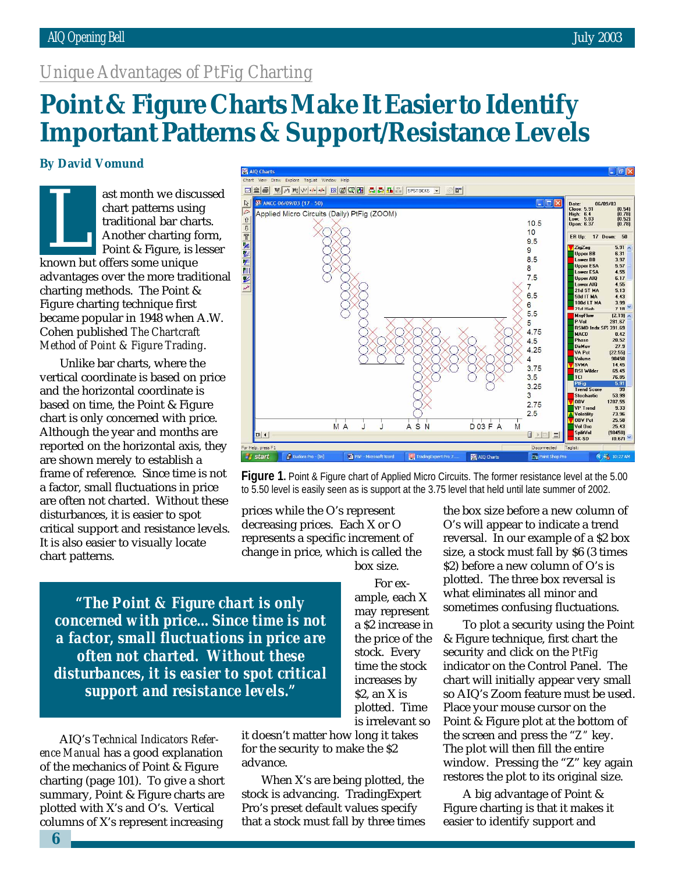## *Unique Advantages of PtFig Charting*

# Point & Figure Charts Make It Easier to Identify **Important Patterns & Support/Resistance Levels**

## **By David Vomund**

ast month we discussed chart patterns using traditional bar charts. Another charting form, Point & Figure, is lesser ast month we ulsed<br>
chart patterns usin<br>
traditional bar cha<br>
Another charting f<br>
Point & Figure, is l<br>
known but offers some unique advantages over the more traditional charting methods. The Point & Figure charting technique first became popular in 1948 when A.W. Cohen published *The Chartcraft Method of Point & Figure Trading*.

Unlike bar charts, where the vertical coordinate is based on price and the horizontal coordinate is based on time, the Point & Figure chart is only concerned with price. Although the year and months are reported on the horizontal axis, they are shown merely to establish a frame of reference. Since time is not a factor, small fluctuations in price are often not charted. Without these disturbances, it is easier to spot critical support and resistance levels. It is also easier to visually locate chart patterns.



**Figure 1.** Point & Figure chart of Applied Micro Circuits. The former resistance level at the 5.00 to 5.50 level is easily seen as is support at the 3.75 level that held until late summer of 2002.

prices while the O's represent decreasing prices. Each X or O represents a specific increment of change in price, which is called the box size.

*"The Point & Figure chart is only concerned with price…Since time is not a factor, small fluctuations in price are often not charted. Without these disturbances, it is easier to spot critical support and resistance levels."*

AIQ's *Technical Indicators Reference Manual* has a good explanation of the mechanics of Point & Figure charting (page 101). To give a short summary, Point & Figure charts are plotted with X's and O's. Vertical columns of X's represent increasing

it doesn't matter how long it takes for the security to make the \$2 advance.

When X's are being plotted, the stock is advancing. TradingExpert Pro's preset default values specify that a stock must fall by three times the box size before a new column of O's will appear to indicate a trend reversal. In our example of a \$2 box size, a stock must fall by \$6 (3 times \$2) before a new column of O's is plotted. The three box reversal is what eliminates all minor and sometimes confusing fluctuations.

To plot a security using the Point & Figure technique, first chart the security and click on the *PtFig* indicator on the Control Panel. The chart will initially appear very small so AIQ's Zoom feature must be used. Place your mouse cursor on the Point & Figure plot at the bottom of the screen and press the "*Z"* key. The plot will then fill the entire window. Pressing the "Z" key again restores the plot to its original size.

A big advantage of Point & Figure charting is that it makes it easier to identify support and

For example, each X may represent a \$2 increase in the price of the stock. Every time the stock increases by  $$2$ , an X is plotted. Time is irrelevant so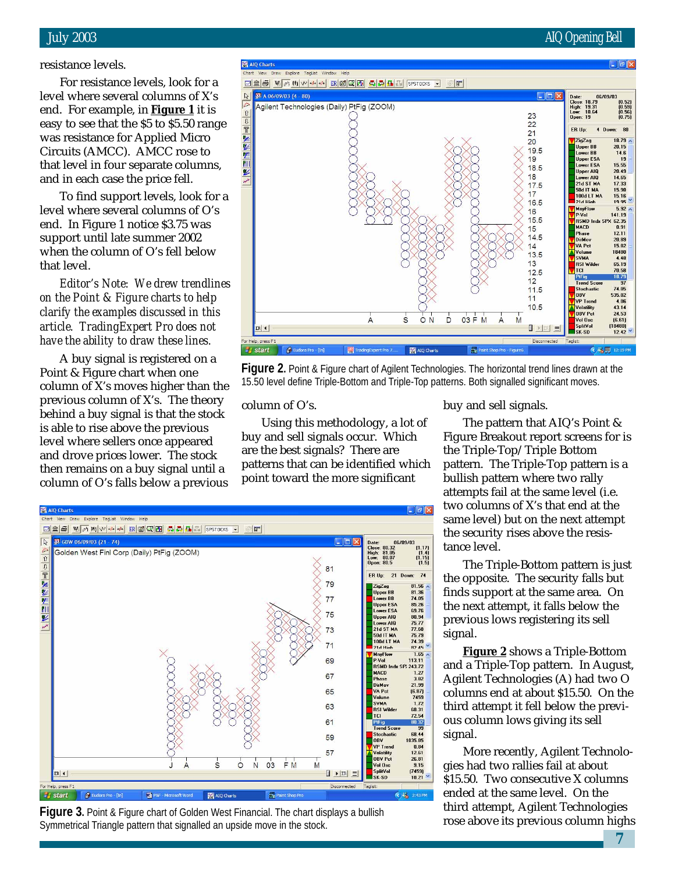## resistance levels.

For resistance levels, look for a level where several columns of X's end. For example, in **Figure 1** it is easy to see that the \$5 to \$5.50 range was resistance for Applied Micro Circuits (AMCC). AMCC rose to that level in four separate columns, and in each case the price fell.

To find support levels, look for a level where several columns of O's end. In Figure 1 notice \$3.75 was support until late summer 2002 when the column of O's fell below that level.

*Editor's Note: We drew trendlines on the Point & Figure charts to help clarify the examples discussed in this article. TradingExpert Pro does not have the ability to draw these lines.*

A buy signal is registered on a Point & Figure chart when one column of X's moves higher than the previous column of X's. The theory behind a buy signal is that the stock is able to rise above the previous level where sellers once appeared and drove prices lower. The stock then remains on a buy signal until a column of O's falls below a previous



**Figure 2.** Point & Figure chart of Agilent Technologies. The horizontal trend lines drawn at the 15.50 level define Triple-Bottom and Triple-Top patterns. Both signalled significant moves.

column of O's.

Using this methodology, a lot of buy and sell signals occur. Which are the best signals? There are patterns that can be identified which point toward the more significant



**Figure 3.** Point & Figure chart of Golden West Financial. The chart displays a bullish Symmetrical Triangle pattern that signalled an upside move in the stock.

buy and sell signals.

The pattern that AIQ's Point & Figure Breakout report screens for is the Triple-Top/Triple Bottom pattern. The Triple-Top pattern is a bullish pattern where two rally attempts fail at the same level (i.e. two columns of X's that end at the same level) but on the next attempt the security rises above the resistance level.

The Triple-Bottom pattern is just the opposite. The security falls but finds support at the same area. On the next attempt, it falls below the previous lows registering its sell signal.

**Figure 2** shows a Triple-Bottom and a Triple-Top pattern. In August, Agilent Technologies (A) had two O columns end at about \$15.50. On the third attempt it fell below the previous column lows giving its sell signal.

More recently, Agilent Technologies had two rallies fail at about \$15.50. Two consecutive X columns ended at the same level. On the third attempt, Agilent Technologies rose above its previous column highs

**7**